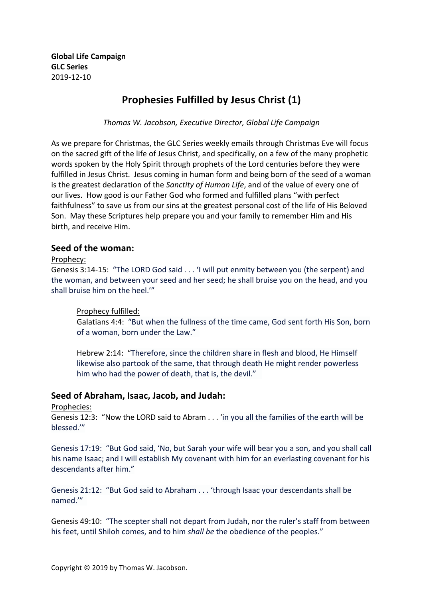**Global Life Campaign GLC Series** 2019-12-10

# **Prophesies Fulfilled by Jesus Christ (1)**

*Thomas W. Jacobson, Executive Director, Global Life Campaign*

As we prepare for Christmas, the GLC Series weekly emails through Christmas Eve will focus on the sacred gift of the life of Jesus Christ, and specifically, on a few of the many prophetic words spoken by the Holy Spirit through prophets of the Lord centuries before they were fulfilled in Jesus Christ. Jesus coming in human form and being born of the seed of a woman is the greatest declaration of the *Sanctity of Human Life*, and of the value of every one of our lives. How good is our Father God who formed and fulfilled plans "with perfect faithfulness" to save us from our sins at the greatest personal cost of the life of His Beloved Son. May these Scriptures help prepare you and your family to remember Him and His birth, and receive Him.

### **Seed of the woman:**

#### Prophecy:

Genesis 3:14-15: "The LORD God said . . . 'I will put enmity between you (the serpent) and the woman, and between your seed and her seed; he shall bruise you on the head, and you shall bruise him on the heel."

#### Prophecy fulfilled:

Galatians 4:4: "But when the fullness of the time came, God sent forth His Son, born of a woman, born under the Law."

Hebrew 2:14: "Therefore, since the children share in flesh and blood, He Himself likewise also partook of the same, that through death He might render powerless him who had the power of death, that is, the devil."

#### Seed of Abraham, Isaac, Jacob, and Judah:

#### Prophecies:

Genesis 12:3: "Now the LORD said to Abram . . . 'in you all the families of the earth will be blessed.'"

Genesis 17:19: "But God said, 'No, but Sarah your wife will bear you a son, and you shall call his name Isaac; and I will establish My covenant with him for an everlasting covenant for his descendants after him."

Genesis 21:12: "But God said to Abraham . . . 'through Isaac your descendants shall be named.'" 

Genesis 49:10: "The scepter shall not depart from Judah, nor the ruler's staff from between his feet, until Shiloh comes, and to him *shall be* the obedience of the peoples."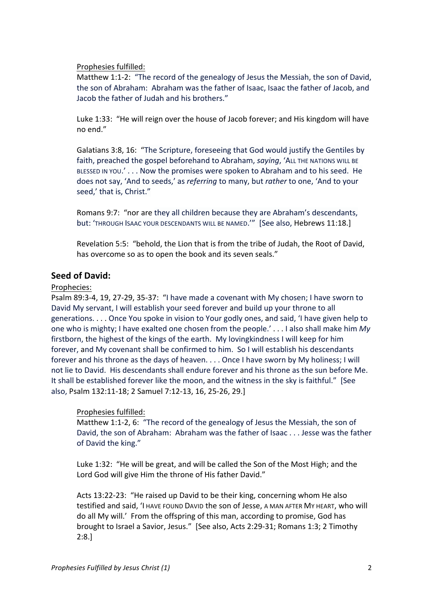Prophesies fulfilled:

Matthew 1:1-2: "The record of the genealogy of Jesus the Messiah, the son of David, the son of Abraham: Abraham was the father of Isaac, Isaac the father of Jacob, and Jacob the father of Judah and his brothers."

Luke 1:33: "He will reign over the house of Jacob forever; and His kingdom will have no end." 

Galatians 3:8, 16: "The Scripture, foreseeing that God would justify the Gentiles by faith, preached the gospel beforehand to Abraham, *saying*, 'ALL THE NATIONS WILL BE BLESSED IN YOU.'... Now the promises were spoken to Abraham and to his seed. He does not say, 'And to seeds,' as *referring* to many, but *rather* to one, 'And to your seed,' that is, Christ."

Romans 9:7: "nor are they all children because they are Abraham's descendants, but: 'THROUGH ISAAC YOUR DESCENDANTS WILL BE NAMED.'" [See also, Hebrews 11:18.]

Revelation 5:5: "behold, the Lion that is from the tribe of Judah, the Root of David, has overcome so as to open the book and its seven seals."

## **Seed of David:**

#### Prophecies:

Psalm 89:3-4, 19, 27-29, 35-37: "I have made a covenant with My chosen; I have sworn to David My servant, I will establish your seed forever and build up your throne to all generations. . . . Once You spoke in vision to Your godly ones, and said, 'I have given help to one who is mighty; I have exalted one chosen from the people.' . . . I also shall make him My firstborn, the highest of the kings of the earth. My lovingkindness I will keep for him forever, and My covenant shall be confirmed to him. So I will establish his descendants forever and his throne as the days of heaven. . . . Once I have sworn by My holiness; I will not lie to David. His descendants shall endure forever and his throne as the sun before Me. It shall be established forever like the moon, and the witness in the sky is faithful." [See also, Psalm 132:11-18; 2 Samuel 7:12-13, 16, 25-26, 29.]

#### Prophesies fulfilled:

Matthew 1:1-2, 6: "The record of the genealogy of Jesus the Messiah, the son of David, the son of Abraham: Abraham was the father of Isaac . . . Jesse was the father of David the king."

Luke 1:32: "He will be great, and will be called the Son of the Most High; and the Lord God will give Him the throne of His father David."

Acts 13:22-23: "He raised up David to be their king, concerning whom He also testified and said, 'I HAVE FOUND DAVID the son of Jesse, A MAN AFTER MY HEART, who will do all My will.' From the offspring of this man, according to promise, God has brought to Israel a Savior, Jesus." [See also, Acts 2:29-31; Romans 1:3; 2 Timothy 2:8.]